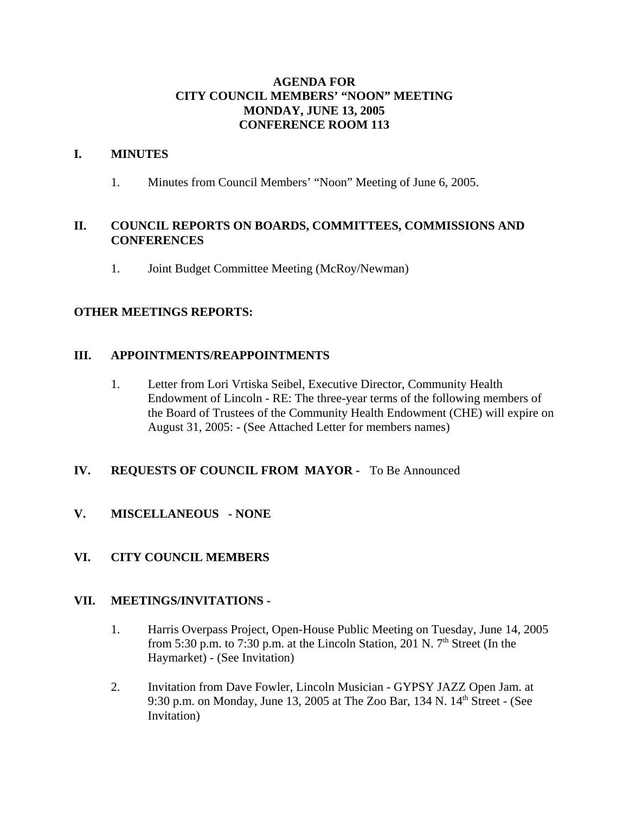## **AGENDA FOR CITY COUNCIL MEMBERS' "NOON" MEETING MONDAY, JUNE 13, 2005 CONFERENCE ROOM 113**

### **I. MINUTES**

1. Minutes from Council Members' "Noon" Meeting of June 6, 2005.

### **II. COUNCIL REPORTS ON BOARDS, COMMITTEES, COMMISSIONS AND CONFERENCES**

1. Joint Budget Committee Meeting (McRoy/Newman)

### **OTHER MEETINGS REPORTS:**

### **III. APPOINTMENTS/REAPPOINTMENTS**

1. Letter from Lori Vrtiska Seibel, Executive Director, Community Health Endowment of Lincoln - RE: The three-year terms of the following members of the Board of Trustees of the Community Health Endowment (CHE) will expire on August 31, 2005: - (See Attached Letter for members names)

## **IV. REQUESTS OF COUNCIL FROM MAYOR -** To Be Announced

**V. MISCELLANEOUS - NONE**

## **VI. CITY COUNCIL MEMBERS**

#### **VII. MEETINGS/INVITATIONS -**

- 1. Harris Overpass Project, Open-House Public Meeting on Tuesday, June 14, 2005 from 5:30 p.m. to 7:30 p.m. at the Lincoln Station, 201 N.  $7<sup>th</sup>$  Street (In the Haymarket) - (See Invitation)
- 2. Invitation from Dave Fowler, Lincoln Musician GYPSY JAZZ Open Jam. at 9:30 p.m. on Monday, June 13, 2005 at The Zoo Bar, 134 N. 14<sup>th</sup> Street - (See Invitation)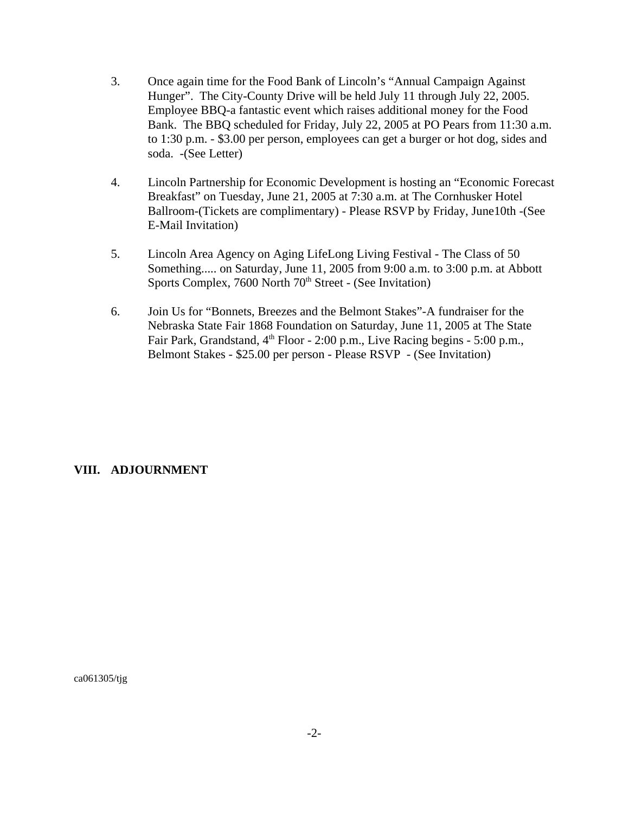- 3. Once again time for the Food Bank of Lincoln's "Annual Campaign Against Hunger". The City-County Drive will be held July 11 through July 22, 2005. Employee BBQ-a fantastic event which raises additional money for the Food Bank. The BBQ scheduled for Friday, July 22, 2005 at PO Pears from 11:30 a.m. to 1:30 p.m. - \$3.00 per person, employees can get a burger or hot dog, sides and soda. -(See Letter)
- 4. Lincoln Partnership for Economic Development is hosting an "Economic Forecast Breakfast" on Tuesday, June 21, 2005 at 7:30 a.m. at The Cornhusker Hotel Ballroom-(Tickets are complimentary) - Please RSVP by Friday, June10th -(See E-Mail Invitation)
- 5. Lincoln Area Agency on Aging LifeLong Living Festival The Class of 50 Something..... on Saturday, June 11, 2005 from 9:00 a.m. to 3:00 p.m. at Abbott Sports Complex, 7600 North 70<sup>th</sup> Street - (See Invitation)
- 6. Join Us for "Bonnets, Breezes and the Belmont Stakes"-A fundraiser for the Nebraska State Fair 1868 Foundation on Saturday, June 11, 2005 at The State Fair Park, Grandstand,  $4<sup>th</sup>$  Floor - 2:00 p.m., Live Racing begins - 5:00 p.m., Belmont Stakes - \$25.00 per person - Please RSVP - (See Invitation)

#### **VIII. ADJOURNMENT**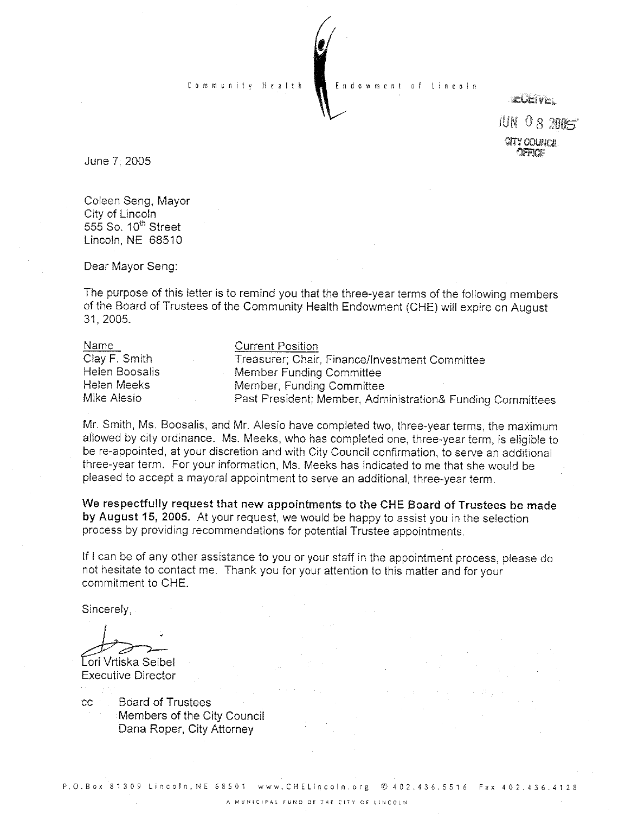Community Health Endowment

**IELENER** 

 $JUN$   $0$   $8$   $2905$ **GITY COLINE H** 

June 7; 2005

Coleen Seng, Mayor City of Lincoln 555 So. 10<sup>th</sup> Street Lincoln, NE 68510

Dear Mayor Seng:

The purpose of this letter is to remind you that the three-year terms of the following members of the Board of Trustees of the Community Health Endowment (CHE) will expire on August 31, 2005.

| Name           | <b>Current Position</b>                                    |
|----------------|------------------------------------------------------------|
| Clay F. Smith  | Treasurer; Chair, Finance/Investment Committee             |
| Helen Boosalis | Member Funding Committée                                   |
| Helen Meeks    | Member, Funding Committee                                  |
| Mike Alesio    | Past President; Member, Administration& Funding Committees |

Mr. Smith, Ms. Boosalis, and Mr. Alesio have completed two, three-year terms, the maximum allowed by city ordinance. Ms. Meeks, who has completed one, three-year term, is eligible to be re-appointed, at your discretion and with City Council confirmation, to serve an additional three-year term. For your information, Ms. Meeks has indicated to me that she would be pleased to accept a mayoral appointment to serve an additional, three-year term.

We respectfully request that new appointments to the CHE Board of Trustees be made by August 15, 2005. At your request, we would be happy to assist you in the selection process by providing recommendations for potential Trustee appointments.

If I can be of any other assistance to you or your staff in the appointment process, please do not hesitate to contact me. Thank you for your attention to this matter and for your commitment to CHE.

Sincerely,

Eori Vrtiska Seibel⊹ **Executive Director** 

**Board of Trustees CC** Members of the City Council Dana Roper, City Attorney

P.O.Box 81309 Lincoln, NE 68501 www.CHELincoln.org © 402.436.5516 Fax 402.436.4128

A MUNICIPAL FUND OF THE CITY OF LINCOLN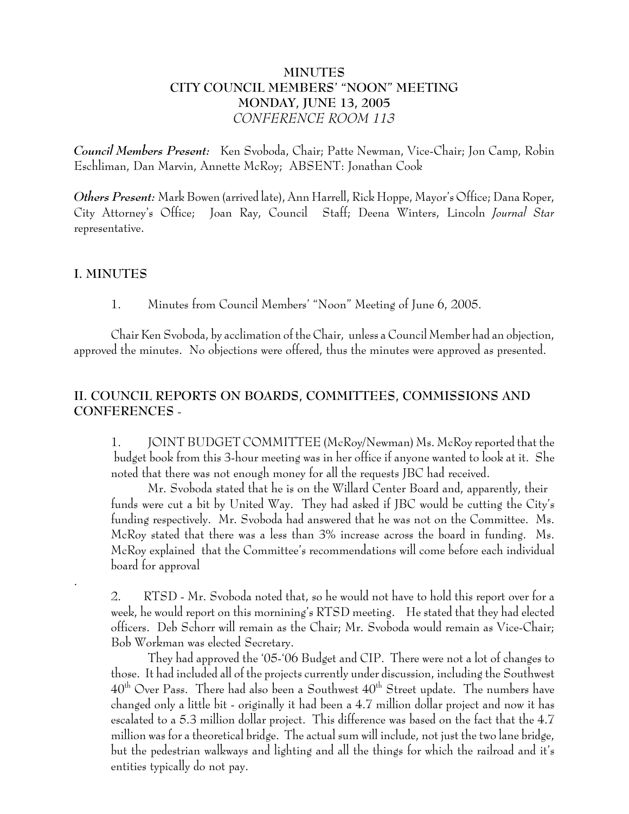## **MINUTES CITY COUNCIL MEMBERS' "NOON" MEETING MONDAY, JUNE 13, 2005** *CONFERENCE ROOM 113*

*Council Members Present:* Ken Svoboda, Chair; Patte Newman, Vice-Chair; Jon Camp, Robin Eschliman, Dan Marvin, Annette McRoy; ABSENT: Jonathan Cook

*Others Present:* Mark Bowen (arrived late), Ann Harrell, Rick Hoppe, Mayor's Office; Dana Roper, City Attorney's Office; Joan Ray, Council Staff; Deena Winters, Lincoln *Journal Star* representative.

## **I. MINUTES**

.

1. Minutes from Council Members' "Noon" Meeting of June 6, 2005.

Chair Ken Svoboda, by acclimation of the Chair, unless a Council Member had an objection, approved the minutes. No objections were offered, thus the minutes were approved as presented.

# **II. COUNCIL REPORTS ON BOARDS, COMMITTEES, COMMISSIONS AND CONFERENCES** -

1. JOINT BUDGET COMMITTEE (McRoy/Newman) Ms. McRoy reported that the budget book from this 3-hour meeting was in her office if anyone wanted to look at it. She noted that there was not enough money for all the requests JBC had received.

Mr. Svoboda stated that he is on the Willard Center Board and, apparently, their funds were cut a bit by United Way. They had asked if JBC would be cutting the City's funding respectively. Mr. Svoboda had answered that he was not on the Committee. Ms. McRoy stated that there was a less than 3% increase across the board in funding. Ms. McRoy explained that the Committee's recommendations will come before each individual board for approval

2. RTSD - Mr. Svoboda noted that, so he would not have to hold this report over for a week, he would report on this mornining's RTSD meeting. He stated that they had elected officers. Deb Schorr will remain as the Chair; Mr. Svoboda would remain as Vice-Chair; Bob Workman was elected Secretary.

They had approved the '05-'06 Budget and CIP. There were not a lot of changes to those. It had included all of the projects currently under discussion, including the Southwest  $40<sup>th</sup>$  Over Pass. There had also been a Southwest  $40<sup>th</sup>$  Street update. The numbers have changed only a little bit - originally it had been a 4.7 million dollar project and now it has escalated to a 5.3 million dollar project. This difference was based on the fact that the 4.7 million was for a theoretical bridge. The actual sum will include, not just the two lane bridge, but the pedestrian walkways and lighting and all the things for which the railroad and it's entities typically do not pay.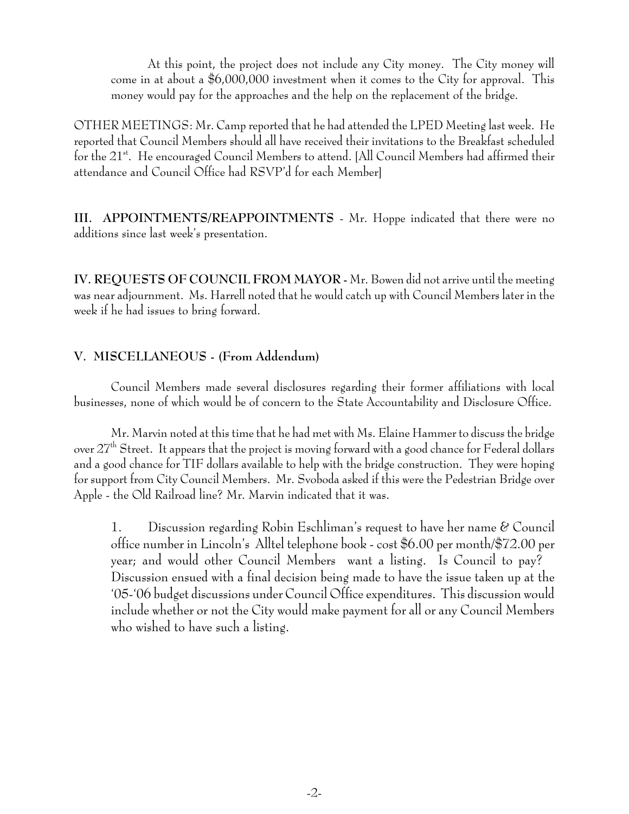At this point, the project does not include any City money. The City money will come in at about a \$6,000,000 investment when it comes to the City for approval. This money would pay for the approaches and the help on the replacement of the bridge.

OTHER MEETINGS: Mr. Camp reported that he had attended the LPED Meeting last week. He reported that Council Members should all have received their invitations to the Breakfast scheduled for the 21<sup>st</sup>. He encouraged Council Members to attend. [All Council Members had affirmed their attendance and Council Office had RSVP'd for each Member]

**III. APPOINTMENTS/REAPPOINTMENTS** - Mr. Hoppe indicated that there were no additions since last week's presentation.

**IV. REQUESTS OF COUNCIL FROM MAYOR -** Mr. Bowen did not arrive until the meeting was near adjournment. Ms. Harrell noted that he would catch up with Council Members later in the week if he had issues to bring forward.

## **V. MISCELLANEOUS - (From Addendum)**

Council Members made several disclosures regarding their former affiliations with local businesses, none of which would be of concern to the State Accountability and Disclosure Office.

Mr. Marvin noted at this time that he had met with Ms. Elaine Hammer to discuss the bridge over 27th Street. It appears that the project is moving forward with a good chance for Federal dollars and a good chance for TIF dollars available to help with the bridge construction. They were hoping for support from City Council Members. Mr. Svoboda asked if this were the Pedestrian Bridge over Apple - the Old Railroad line? Mr. Marvin indicated that it was.

1. Discussion regarding Robin Eschliman's request to have her name & Council office number in Lincoln's Alltel telephone book - cost \$6.00 per month/\$72.00 per year; and would other Council Members want a listing. Is Council to pay? Discussion ensued with a final decision being made to have the issue taken up at the '05-'06 budget discussions under Council Office expenditures. This discussion would include whether or not the City would make payment for all or any Council Members who wished to have such a listing.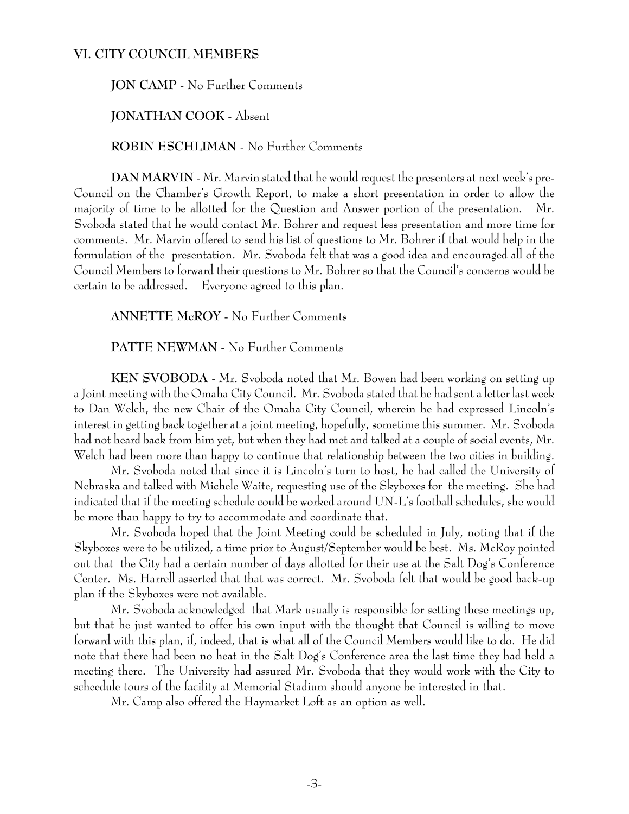#### **VI. CITY COUNCIL MEMBERS**

### **JON CAMP** - No Further Comments

**JONATHAN COOK** - Absent

**ROBIN ESCHLIMAN** - No Further Comments

**DAN MARVIN** - Mr. Marvin stated that he would request the presenters at next week's pre-Council on the Chamber's Growth Report, to make a short presentation in order to allow the majority of time to be allotted for the Question and Answer portion of the presentation. Mr. Svoboda stated that he would contact Mr. Bohrer and request less presentation and more time for comments. Mr. Marvin offered to send his list of questions to Mr. Bohrer if that would help in the formulation of the presentation. Mr. Svoboda felt that was a good idea and encouraged all of the Council Members to forward their questions to Mr. Bohrer so that the Council's concerns would be certain to be addressed. Everyone agreed to this plan.

**ANNETTE McROY** - No Further Comments

**PATTE NEWMAN** - No Further Comments

**KEN SVOBODA** - Mr. Svoboda noted that Mr. Bowen had been working on setting up a Joint meeting with the Omaha City Council. Mr. Svoboda stated that he had sent a letter last week to Dan Welch, the new Chair of the Omaha City Council, wherein he had expressed Lincoln's interest in getting back together at a joint meeting, hopefully, sometime this summer. Mr. Svoboda had not heard back from him yet, but when they had met and talked at a couple of social events, Mr. Welch had been more than happy to continue that relationship between the two cities in building.

Mr. Svoboda noted that since it is Lincoln's turn to host, he had called the University of Nebraska and talked with Michele Waite, requesting use of the Skyboxes for the meeting. She had indicated that if the meeting schedule could be worked around UN-L's football schedules, she would be more than happy to try to accommodate and coordinate that.

Mr. Svoboda hoped that the Joint Meeting could be scheduled in July, noting that if the Skyboxes were to be utilized, a time prior to August/September would be best. Ms. McRoy pointed out that the City had a certain number of days allotted for their use at the Salt Dog's Conference Center. Ms. Harrell asserted that that was correct. Mr. Svoboda felt that would be good back-up plan if the Skyboxes were not available.

Mr. Svoboda acknowledged that Mark usually is responsible for setting these meetings up, but that he just wanted to offer his own input with the thought that Council is willing to move forward with this plan, if, indeed, that is what all of the Council Members would like to do. He did note that there had been no heat in the Salt Dog's Conference area the last time they had held a meeting there. The University had assured Mr. Svoboda that they would work with the City to scheedule tours of the facility at Memorial Stadium should anyone be interested in that.

Mr. Camp also offered the Haymarket Loft as an option as well.